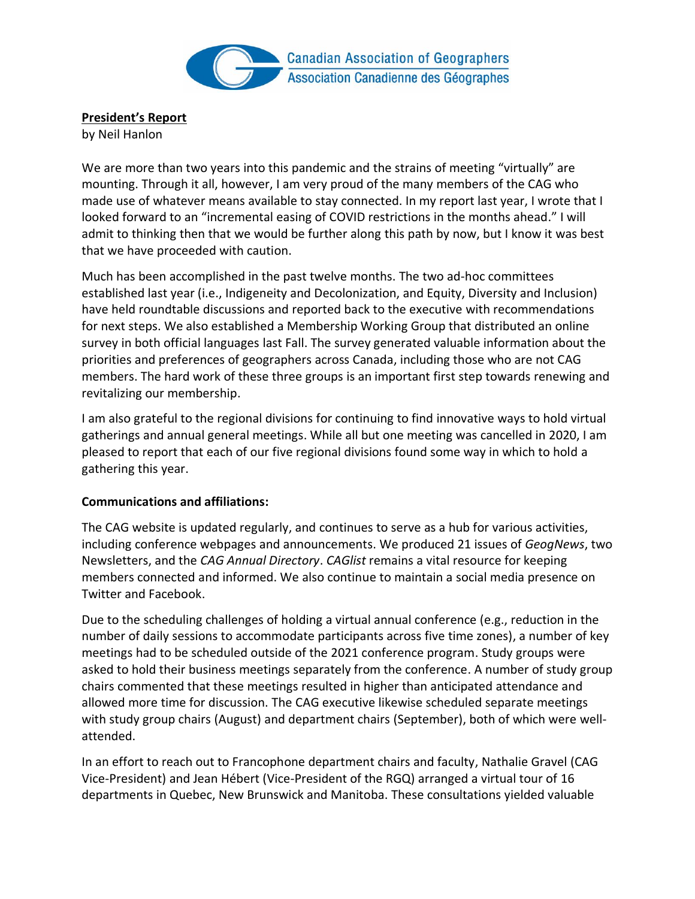

**President's Report**

by Neil Hanlon

We are more than two years into this pandemic and the strains of meeting "virtually" are mounting. Through it all, however, I am very proud of the many members of the CAG who made use of whatever means available to stay connected. In my report last year, I wrote that I looked forward to an "incremental easing of COVID restrictions in the months ahead." I will admit to thinking then that we would be further along this path by now, but I know it was best that we have proceeded with caution.

Much has been accomplished in the past twelve months. The two ad-hoc committees established last year (i.e., Indigeneity and Decolonization, and Equity, Diversity and Inclusion) have held roundtable discussions and reported back to the executive with recommendations for next steps. We also established a Membership Working Group that distributed an online survey in both official languages last Fall. The survey generated valuable information about the priorities and preferences of geographers across Canada, including those who are not CAG members. The hard work of these three groups is an important first step towards renewing and revitalizing our membership.

I am also grateful to the regional divisions for continuing to find innovative ways to hold virtual gatherings and annual general meetings. While all but one meeting was cancelled in 2020, I am pleased to report that each of our five regional divisions found some way in which to hold a gathering this year.

#### **Communications and affiliations:**

The CAG website is updated regularly, and continues to serve as a hub for various activities, including conference webpages and announcements. We produced 21 issues of *GeogNews*, two Newsletters, and the *CAG Annual Directory*. *CAGlist* remains a vital resource for keeping members connected and informed. We also continue to maintain a social media presence on Twitter and Facebook.

Due to the scheduling challenges of holding a virtual annual conference (e.g., reduction in the number of daily sessions to accommodate participants across five time zones), a number of key meetings had to be scheduled outside of the 2021 conference program. Study groups were asked to hold their business meetings separately from the conference. A number of study group chairs commented that these meetings resulted in higher than anticipated attendance and allowed more time for discussion. The CAG executive likewise scheduled separate meetings with study group chairs (August) and department chairs (September), both of which were wellattended.

In an effort to reach out to Francophone department chairs and faculty, Nathalie Gravel (CAG Vice-President) and Jean Hébert (Vice-President of the RGQ) arranged a virtual tour of 16 departments in Quebec, New Brunswick and Manitoba. These consultations yielded valuable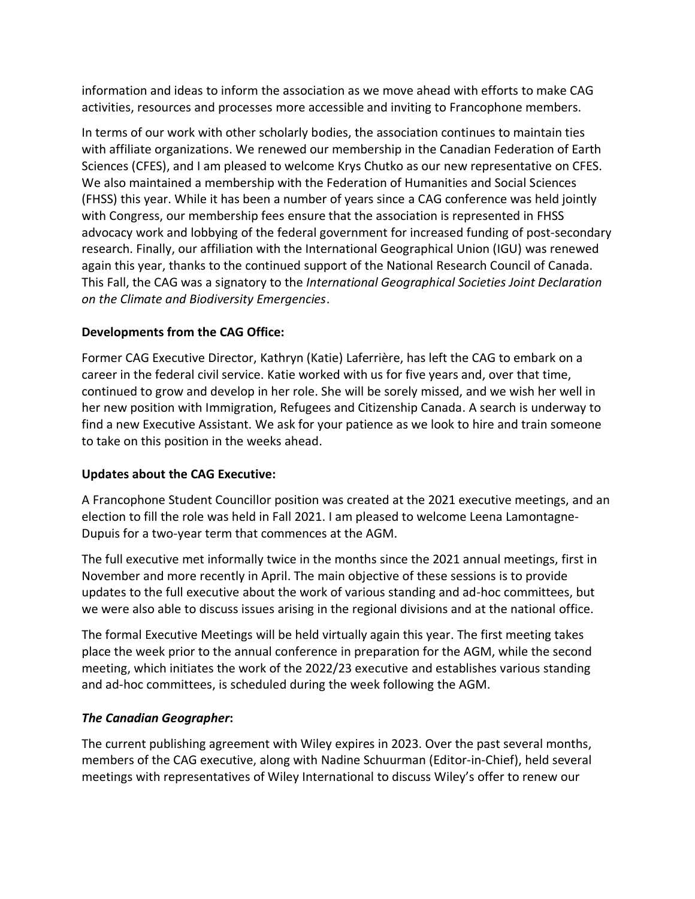information and ideas to inform the association as we move ahead with efforts to make CAG activities, resources and processes more accessible and inviting to Francophone members.

In terms of our work with other scholarly bodies, the association continues to maintain ties with affiliate organizations. We renewed our membership in the Canadian Federation of Earth Sciences (CFES), and I am pleased to welcome Krys Chutko as our new representative on CFES. We also maintained a membership with the Federation of Humanities and Social Sciences (FHSS) this year. While it has been a number of years since a CAG conference was held jointly with Congress, our membership fees ensure that the association is represented in FHSS advocacy work and lobbying of the federal government for increased funding of post-secondary research. Finally, our affiliation with the International Geographical Union (IGU) was renewed again this year, thanks to the continued support of the National Research Council of Canada. This Fall, the CAG was a signatory to the *International Geographical Societies Joint Declaration on the Climate and Biodiversity Emergencies*.

## **Developments from the CAG Office:**

Former CAG Executive Director, Kathryn (Katie) Laferrière, has left the CAG to embark on a career in the federal civil service. Katie worked with us for five years and, over that time, continued to grow and develop in her role. She will be sorely missed, and we wish her well in her new position with Immigration, Refugees and Citizenship Canada. A search is underway to find a new Executive Assistant. We ask for your patience as we look to hire and train someone to take on this position in the weeks ahead.

## **Updates about the CAG Executive:**

A Francophone Student Councillor position was created at the 2021 executive meetings, and an election to fill the role was held in Fall 2021. I am pleased to welcome Leena Lamontagne-Dupuis for a two-year term that commences at the AGM.

The full executive met informally twice in the months since the 2021 annual meetings, first in November and more recently in April. The main objective of these sessions is to provide updates to the full executive about the work of various standing and ad-hoc committees, but we were also able to discuss issues arising in the regional divisions and at the national office.

The formal Executive Meetings will be held virtually again this year. The first meeting takes place the week prior to the annual conference in preparation for the AGM, while the second meeting, which initiates the work of the 2022/23 executive and establishes various standing and ad-hoc committees, is scheduled during the week following the AGM.

## *The Canadian Geographer***:**

The current publishing agreement with Wiley expires in 2023. Over the past several months, members of the CAG executive, along with Nadine Schuurman (Editor-in-Chief), held several meetings with representatives of Wiley International to discuss Wiley's offer to renew our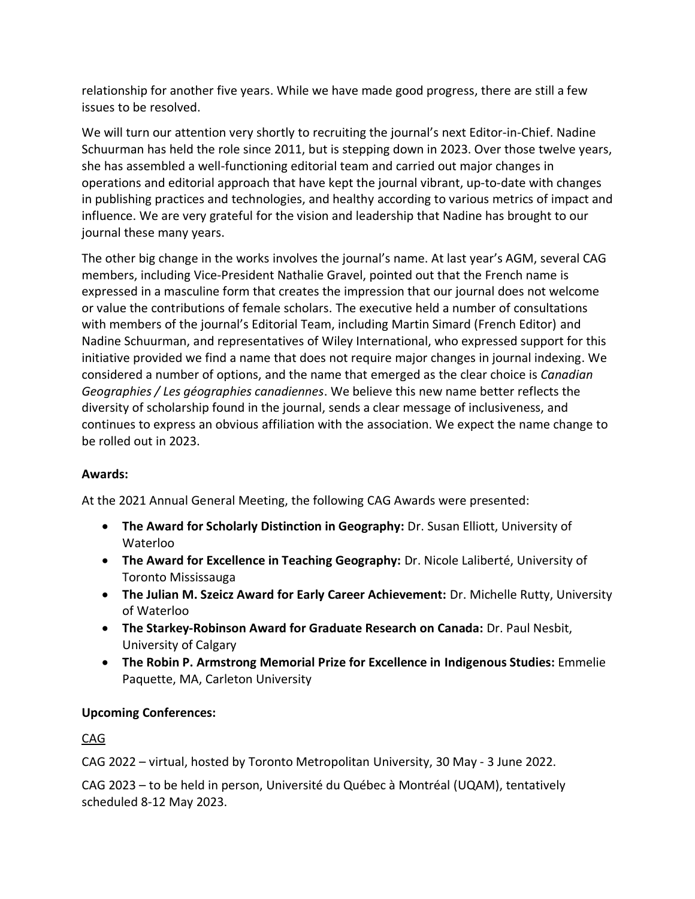relationship for another five years. While we have made good progress, there are still a few issues to be resolved.

We will turn our attention very shortly to recruiting the journal's next Editor-in-Chief. Nadine Schuurman has held the role since 2011, but is stepping down in 2023. Over those twelve years, she has assembled a well-functioning editorial team and carried out major changes in operations and editorial approach that have kept the journal vibrant, up-to-date with changes in publishing practices and technologies, and healthy according to various metrics of impact and influence. We are very grateful for the vision and leadership that Nadine has brought to our journal these many years.

The other big change in the works involves the journal's name. At last year's AGM, several CAG members, including Vice-President Nathalie Gravel, pointed out that the French name is expressed in a masculine form that creates the impression that our journal does not welcome or value the contributions of female scholars. The executive held a number of consultations with members of the journal's Editorial Team, including Martin Simard (French Editor) and Nadine Schuurman, and representatives of Wiley International, who expressed support for this initiative provided we find a name that does not require major changes in journal indexing. We considered a number of options, and the name that emerged as the clear choice is *Canadian Geographies / Les géographies canadiennes*. We believe this new name better reflects the diversity of scholarship found in the journal, sends a clear message of inclusiveness, and continues to express an obvious affiliation with the association. We expect the name change to be rolled out in 2023.

## **Awards:**

At the 2021 Annual General Meeting, the following CAG Awards were presented:

- **The Award for Scholarly Distinction in Geography:** Dr. Susan Elliott, University of Waterloo
- **The Award for Excellence in Teaching Geography:** Dr. Nicole Laliberté, University of Toronto Mississauga
- **The Julian M. Szeicz Award for Early Career Achievement:** Dr. Michelle Rutty, University of Waterloo
- **The Starkey-Robinson Award for Graduate Research on Canada:** Dr. Paul Nesbit, University of Calgary
- **The Robin P. Armstrong Memorial Prize for Excellence in Indigenous Studies:** Emmelie Paquette, MA, Carleton University

# **Upcoming Conferences:**

CAG

CAG 2022 – virtual, hosted by Toronto Metropolitan University, 30 May - 3 June 2022.

CAG 2023 – to be held in person, Université du Québec à Montréal (UQAM), tentatively scheduled 8-12 May 2023.